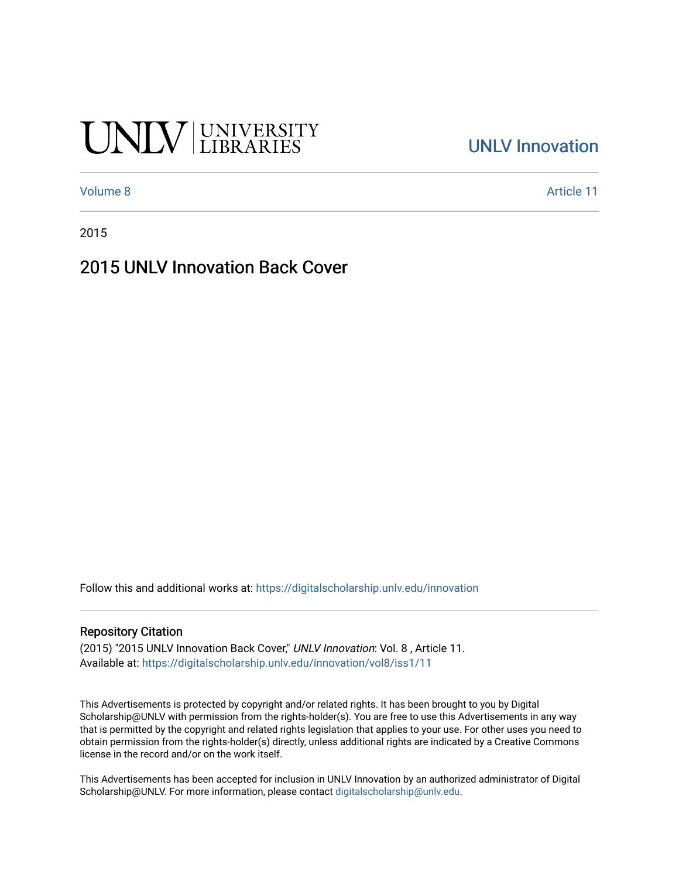# UNIV UNIVERSITY

### [UNLV Innovation](https://digitalscholarship.unlv.edu/innovation)

[Volume 8](https://digitalscholarship.unlv.edu/innovation/vol8) Article 11

2015

#### 2015 UNLV Innovation Back Cover

Follow this and additional works at: [https://digitalscholarship.unlv.edu/innovation](https://digitalscholarship.unlv.edu/innovation?utm_source=digitalscholarship.unlv.edu%2Finnovation%2Fvol8%2Fiss1%2F11&utm_medium=PDF&utm_campaign=PDFCoverPages) 

#### Repository Citation

(2015) "2015 UNLV Innovation Back Cover," UNLV Innovation: Vol. 8 , Article 11. Available at: [https://digitalscholarship.unlv.edu/innovation/vol8/iss1/11](https://digitalscholarship.unlv.edu/innovation/vol8/iss1/11?utm_source=digitalscholarship.unlv.edu%2Finnovation%2Fvol8%2Fiss1%2F11&utm_medium=PDF&utm_campaign=PDFCoverPages) 

This Advertisements is protected by copyright and/or related rights. It has been brought to you by Digital Scholarship@UNLV with permission from the rights-holder(s). You are free to use this Advertisements in any way that is permitted by the copyright and related rights legislation that applies to your use. For other uses you need to obtain permission from the rights-holder(s) directly, unless additional rights are indicated by a Creative Commons license in the record and/or on the work itself.

This Advertisements has been accepted for inclusion in UNLV Innovation by an authorized administrator of Digital Scholarship@UNLV. For more information, please contact [digitalscholarship@unlv.edu.](mailto:digitalscholarship@unlv.edu)